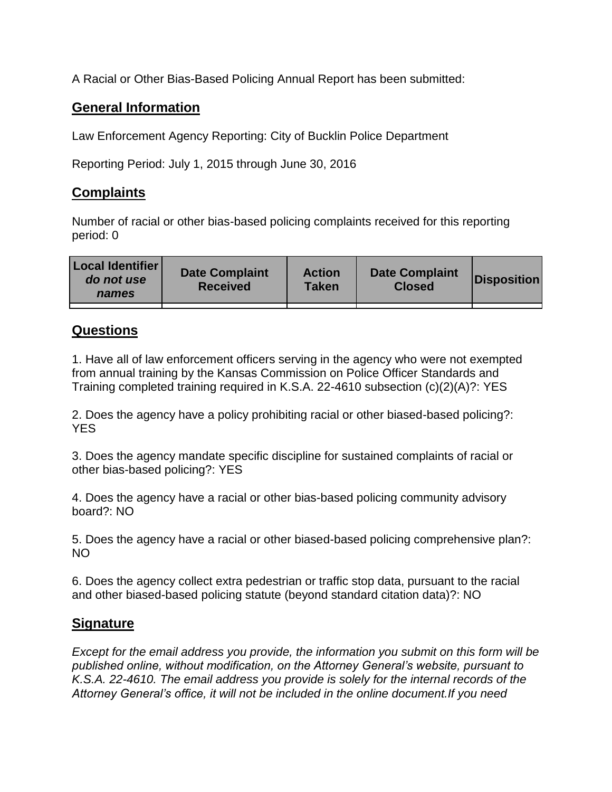A Racial or Other Bias-Based Policing Annual Report has been submitted:

## **General Information**

Law Enforcement Agency Reporting: City of Bucklin Police Department

Reporting Period: July 1, 2015 through June 30, 2016

## **Complaints**

Number of racial or other bias-based policing complaints received for this reporting period: 0

| <b>Local Identifier</b><br>do not use<br>names | <b>Date Complaint</b><br><b>Received</b> | <b>Action</b><br><b>Taken</b> | <b>Date Complaint</b><br><b>Closed</b> | Disposition |
|------------------------------------------------|------------------------------------------|-------------------------------|----------------------------------------|-------------|
|                                                |                                          |                               |                                        |             |

## **Questions**

1. Have all of law enforcement officers serving in the agency who were not exempted from annual training by the Kansas Commission on Police Officer Standards and Training completed training required in K.S.A. 22-4610 subsection (c)(2)(A)?: YES

2. Does the agency have a policy prohibiting racial or other biased-based policing?: YES

3. Does the agency mandate specific discipline for sustained complaints of racial or other bias-based policing?: YES

4. Does the agency have a racial or other bias-based policing community advisory board?: NO

5. Does the agency have a racial or other biased-based policing comprehensive plan?: NO

6. Does the agency collect extra pedestrian or traffic stop data, pursuant to the racial and other biased-based policing statute (beyond standard citation data)?: NO

## **Signature**

*Except for the email address you provide, the information you submit on this form will be published online, without modification, on the Attorney General's website, pursuant to K.S.A. 22-4610. The email address you provide is solely for the internal records of the Attorney General's office, it will not be included in the online document.If you need*